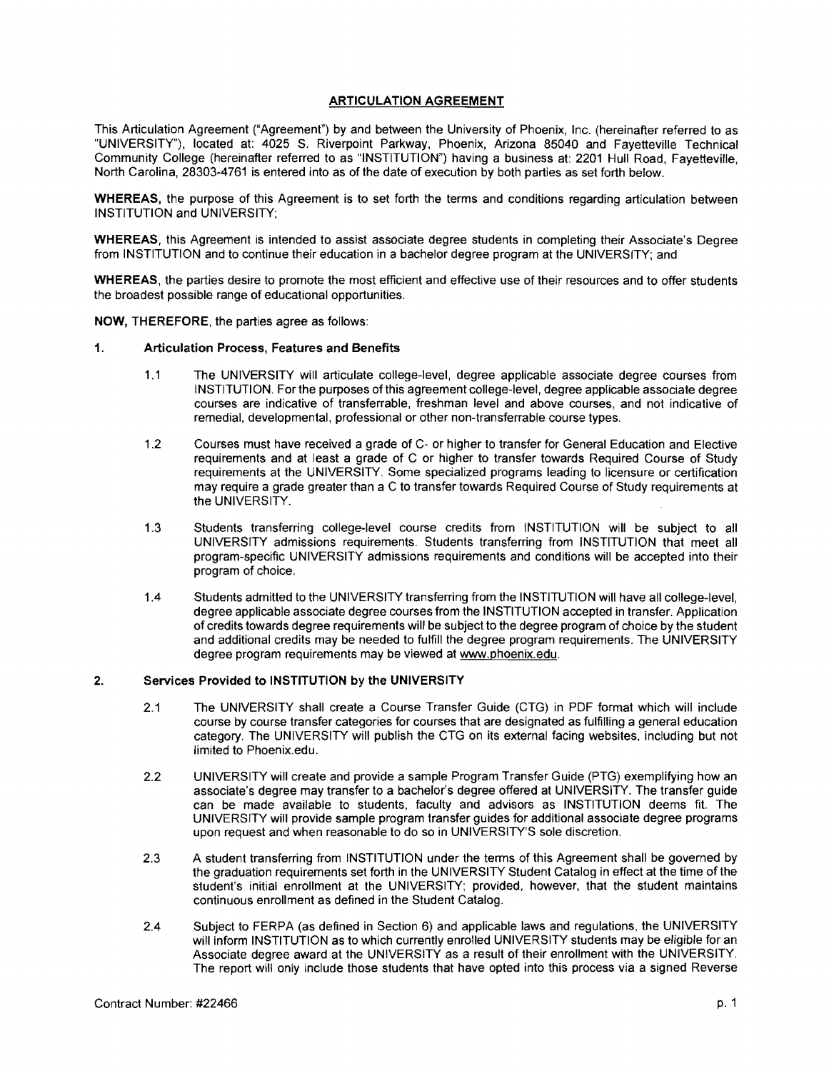# ARTICULATION AGREEMENT

This Articulation Agreement ("Agreement") by and between the University of Phoenix, Inc. (hereinafter referred to as "UNIVERSITY"), located at: 4025 S. Riverpoint Parkway, Phoenix, Arizona 85040 and Fayetteville Technical Community College (hereinafter referred to as "INSTITUTION") having a business at: 2201 Hull Road, Fayetteville, North Carolina, 28303-4761 is entered into as of the date of execution by both parties as set forth below.

WHEREAS, the purpose of this Agreement is to set forth the terms and conditions regarding articulation between INSTITUTION and UNIVERSITY;

WHEREAS, this Agreement is intended to assist associate degree students in completing their Associate's Degree from INSTITUTION and to continue their education in a bachelor degree program at the UNIVERSITY; and

WHEREAS, the parties desire to promote the most efficient and effective use of their resources and to offer students the broadest possible range of educational opportunities.

NOW, THEREFORE, the parties agree as follows:

## 1. Articulation Process, Features and Benefits

- 1.1 The UNIVERSITY will articulate college-level, degree applicable associate degree courses from INSTITUTION. For the purposes of this agreement college-level, degree applicable associate degree courses are indicative of transferrable, freshman level and above courses, and not indicative of remedial, developmental, professional or other non-transferrable course types.
- 1.2 Courses must have received a grade of C- or higher to transfer for General Education and Elective requirements and at least a grade of C or higher to transfer towards Required Course of Study requirements at the UNIVERSITY. Some specialized programs leading to licensure or certification may require a grade greater than a C to transfer towards Required Course of Study requirements at the UNIVERSITY.
- 1.3 Students transferring college-level course credits from INSTITUTION will be subject to all UNIVERSITY admissions requirements. Students transferring from INSTITUTION that meet all program-specific UNIVERSITY admissions requirements and conditions will be accepted into their program of choice.
- 1.4 Students admitted to the UNIVERSITY transferring from the INSTITUTION will have all college-level, degree applicable associate degree courses from the INSTITUTION accepted in transfer. Application of credits towards degree requirements will be subject to the degree program of choice by the student and additional credits may be needed to fulfill the degree program requirements. The UNIVERSITY degree program requirements may be viewed at [www.phoenix.edu.](http:www.phoenix.edu)

## 2. Services Provided to INSTITUTION by the UNIVERSITY

- 2.1 The UNIVERSITY shall create a Course Transfer Guide (CTG) in PDF format which will include course by course transfer categories for courses that are designated as fulfilling a general education category. The UNIVERSITY will publish the CTG on its external facing websites, including but not limited to [Phoenix.edu.](http:Phoenix.edu)
- 2.2 UNIVERSITY will create and provide a sample Program Transfer Guide (PTG) exemplifying how an associate's degree may transfer to a bachelor's degree offered at UNIVERSITY. The transfer guide can be made available to students, faculty and advisors as INSTITUTION deems fit. The UNIVERSITY will provide sample program transfer guides for additional associate degree programs upon request and when reasonable to do so in UNIVERSITY'S sole discretion.
- 2.3 A student transferring from INSTITUTION under the terms of this Agreement shall be governed by the graduation requirements set forth in the UNIVERSITY Student Catalog in effect at the time ofthe student's initial enrollment at the UNIVERSITY; provided, however, that the student maintains continuous enrollment as defined in the Student Catalog.
- 2.4 Subject to FERPA (as defined in Section 6) and applicable laws and regulations, the UNIVERSITY will inform INSTITUTION as to which currently enrolled UNIVERSITY students may be eligible for an Associate degree award at the UNIVERSITY as a result of their enrollment with the UNIVERSITY. The report will only include those students that have opted into this process via a signed Reverse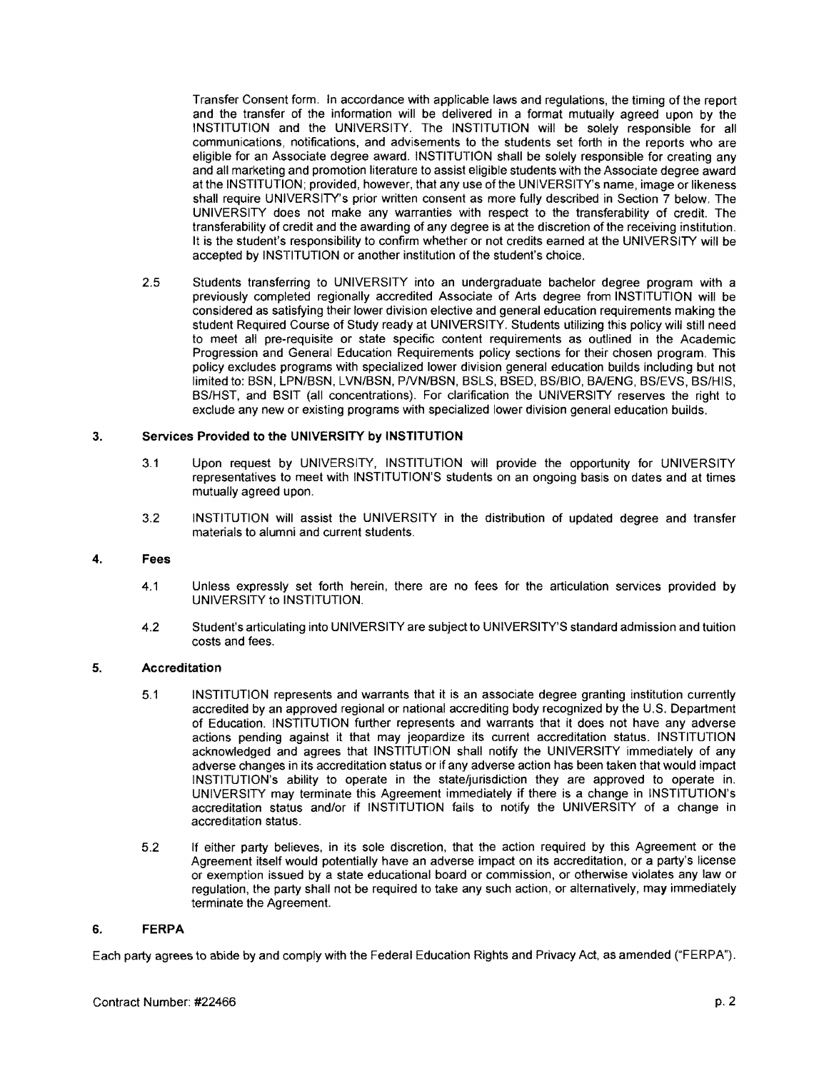Transfer Consent form. In accordance with applicable laws and regulations, the timing of the report and the transfer of the information will be delivered in a format mutually agreed upon by the INSTITUTION and the UNIVERSITY. The INSTITUTION will be solely responsible for all communications, notifications, and advisements to the students set forth in the reports who are eligible for an Associate degree award. INSTITUTION shall be solely responsible for creating any and all marketing and promotion literature to assist eligible students with the Associate degree award at the INSTITUTION; provided, however, that any use of the UNIVERSITY's name, image or likeness shall require UNIVERSITY's prior written consent as more fully described in Section 7 below. The UNIVERSITY does not make any warranties with respect to the transferability of credit. The transferability of credit and the awarding of any degree is at the discretion of the receiving institution. It is the student's responsibility to confirm whether or not credits earned at the UNIVERSITY will be accepted by INSTITUTION or another institution of the student's choice.

2.5 Students transferring to UNIVERSITY into an undergraduate bachelor degree program with a previously completed regionally accredited Associate of Arts degree from INSTITUTION will be considered as satisfying their lower division elective and general education requirements making the student Required Course of Study ready at UNIVERSITY. Students utilizing this policy will still need to meet all pre-requisite or state specific content requirements as outlined in the Academic Progression and General Education Requirements policy sections for their chosen program. This policy excludes programs with specialized lower division general education builds including but not limited to: BSN, LPN/BSN, LVN/BSN, PNN/BSN, BSLS, BSED, BS/BIO, BA/ENG, BS/EVS, BS/HIS, BS/HST, and BSIT (all concentrations). For clarification the UNIVERSITY reserves the right to exclude any new or existing programs with specialized lower division general education builds.

# 3. Services Provided to the UNIVERSITY by INSTITUTION

- 3.1 Upon request by UNIVERSITY, INSTITUTION will provide the opportunity for UNIVERSITY representatives to meet with INSTITUTION'S students on an ongoing basis on dates and at times mutually agreed upon.
- 3.2 INSTITUTION will assist the UNIVERSITY in the distribution of updated degree and transfer materials to alumni and current students.

# 4. Fees

- 4.1 Unless expressly set forth herein, there are no fees for the articulation services provided by UNIVERSITY to INSTITUTION.
- 4.2 Student's articulating into UNIVERSITY are subject to UNIVERSITY'S standard admission and tuition costs and fees.

# 5. Accreditation

- 5.1 INSTITUTION represents and warrants that it is an associate degree granting institution currently accredited by an approved regional or national accrediting body recognized by the U.S. Department of Education. INSTITUTION further represents and warrants that it does not have any adverse actions pending against it that may jeopardize its current accreditation status. INSTITUTION acknowledged and agrees that INSTITUTION shall notify the UNIVERSITY immediately of any adverse changes in its accreditation status or if any adverse action has been taken that would impact INSTITUTION's ability to operate in the state/jurisdiction they are approved to operate in. UNIVERSITY may terminate this Agreement immediately if there is a change in INSTITUTION's accreditation status and/or if INSTITUTION fails to notify the UNIVERSITY of a change in accreditation status.
- 5.2 If either party believes, in its sole discretion, that the action required by this Agreement or the Agreement itself would potentially have an adverse impact on its accreditation, or a party's license or exemption issued by a state educational board or commission, or otherwise violates any law or regulation, the party shall not be required to take any such action, or alternatively, may immediately terminate the Agreement.

# 6. FERPA

Each party agrees to abide by and comply with the Federal Education Rights and Privacy Act, as amended ("FERPA").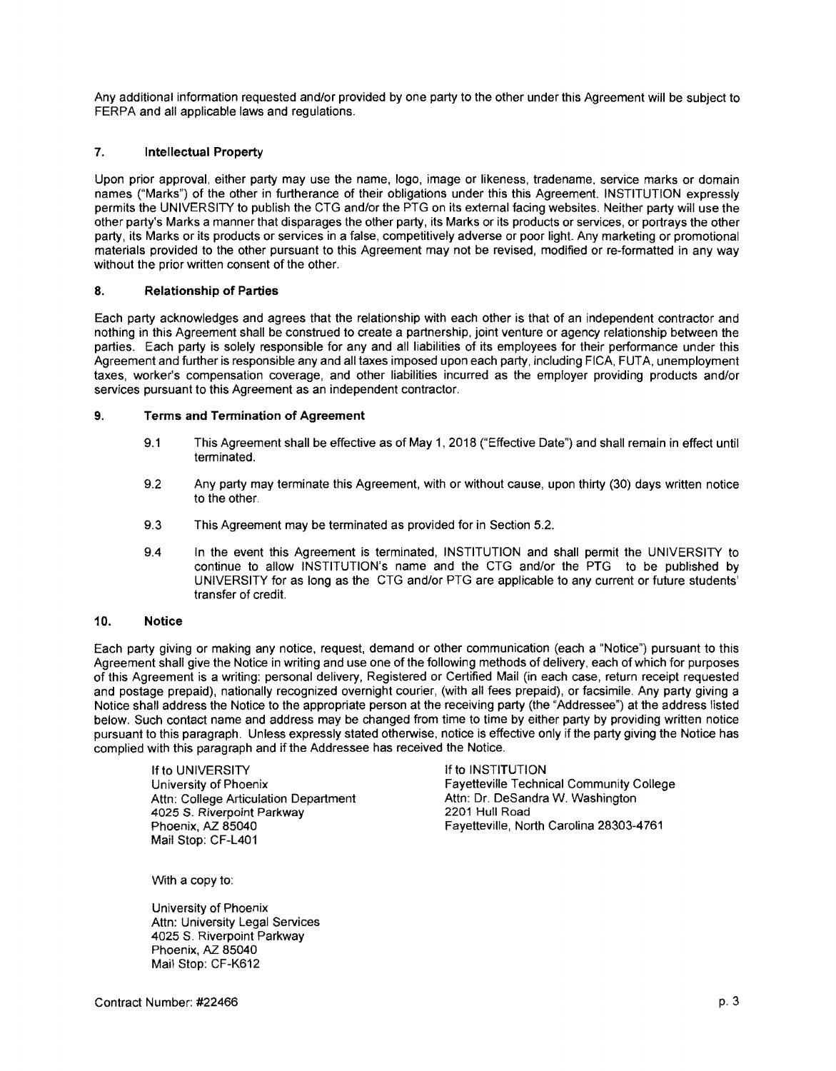Any additional information requested and/or provided by one party to the other under this Agreement will be subject to FERPA and all applicable laws and regulations.

# 7. **Intellectual Property**

Upon prior approval, either party may use the name, logo, image or likeness, tradename, service marks or domain names ("Marks") of the other in furtherance of their obligations under this this Agreement. INSTITUTION expressly permits the UNIVERSITY to publish the CTG and/or the PTG on its external facing websites. Neither party will use the other party's Marks a manner that disparages the other party, its Marks or its products or services, or portrays the other party, its Marks or its products or services in a false, competitively adverse or poor light. Any marketing or promotional materials provided to the other pursuant to this Agreement may not be revised, modified or re-formatted in any way without the prior written consent of the other.

# 8. Relationship of Parties

Each party acknowledges and agrees that the relationship with each other is that of an independent contractor and nothing in this Agreement shall be construed to create a partnership, joint venture or agency relationship between the parties. Each party is solely responsible for any and all liabilities of its employees for their performance under this Agreement and further is responsible any and all taxes imposed upon each party, including FICA, FUTA, unemployment taxes, worker's compensation coverage, and other liabilities incurred as the employer providing products and/or services pursuant to this Agreement as an independent contractor.

## 9. Terms and Termination of Agreement

- 9.1 This Agreement shall be effective as of May 1,2018 ("Effective Date") and shall remain in effect until terminated.
- 9.2 Any party may terminate this Agreement, with or without cause, upon thirty (30) days written notice to the other.
- 9.3 This Agreement may be terminated as provided for in Section 5.2.
- 9.4 In the event this Agreement is terminated, INSTITUTION and shall permit the UNIVERSITY to continue to allow INSTITUTION's name and the CTG and/or the PTG to be published by UNIVERSITY for as long as the CTG and/or PTG are applicable to any current or future students' transfer of credit.

## 10. Notice

Each party giving or making any notice, request, demand or other communication (each a "Notice") pursuant to this Agreement shall give the Notice in writing and use one of the following methods of delivery, each of which for purposes of this Agreement is a writing: personal delivery, Registered or Certified Mail (in each case, return receipt requested and postage prepaid), nationally recognized overnight courier, (with all fees prepaid), or facsimile. Any party giving a Notice shall address the Notice to the appropriate person at the receiving party (the "Addressee") at the address listed below. Such contact name and address may be changed from time to time by either party by providing written notice pursuant to this paragraph. Unless expressly stated otherwise, notice is effective only if the party giving the Notice has complied with this paragraph and if the Addressee has received the Notice.

If to UNIVERSITY<br>
University of Phoenix<br>
University of Phoenix<br>
Internal Contract to Institute Techni Attn: College Articulation Department Attn: Dr. DeSandra Attn: Dr. DeSandra Attn: Dr. DeSandra Attn: Dr. DeSandra W. Washington Attn: Dr. DeSandra Attn: Dr. DeSandra Attn: Dr. DeSandra Attn: Dr. DeSandra Attn: Dr. DeSandra 4025 S. Riverpoint Parkway<br>Phoenix, AZ 85040 Mail Stop: CF-L401

Fayetteville Technical Community College<br>Attn: Dr. DeSandra W. Washington Favetteville, North Carolina 28303-4761

With a copy to:

University of Phoenix Attn: University Legal Services 4025 S. Riverpoint Parkway Phoenix, AZ 85040 Mail Stop: CF-K612